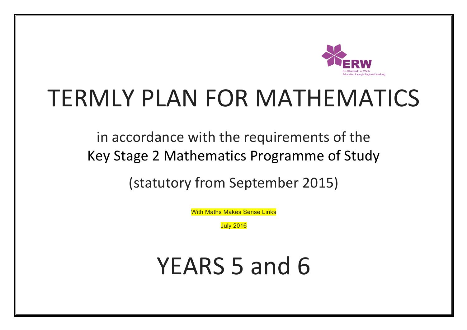

## TERMLY PLAN FOR MATHEMATICS

in accordance with the requirements of the Key Stage 2 Mathematics Programme of Study

(statutory from September 2015)

With Maths Makes Sense Links

July 2016

YEARS 5 and 6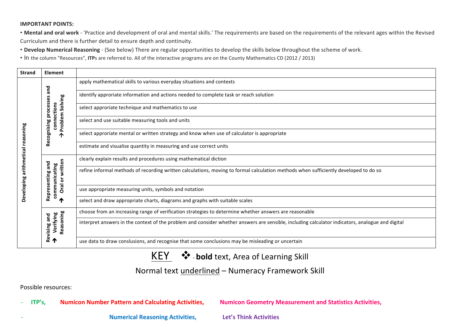## **IMPORTANT POINTS:**

• Mental and oral work - 'Practice and development of oral and mental skills.' The requirements are based on the requirements of the relevant ages within the Revised Curriculum and there is further detail to ensure depth and continuity.

• Develop Numerical Reasoning - (See below) There are regular opportunities to develop the skills below throughout the scheme of work.

• In the column "Resources", ITPs are referred to. All of the interactive programs are on the County Mathematics CD (2012 / 2013)

| <b>Strand</b> | <b>Element</b>                                               |                                                                                                                                                  |
|---------------|--------------------------------------------------------------|--------------------------------------------------------------------------------------------------------------------------------------------------|
|               |                                                              | apply mathematical skills to various everyday situations and contexts                                                                            |
|               | and                                                          | identify approriate information and actions needed to complete task or reach solution                                                            |
|               |                                                              | select approriate technique and mathematics to use                                                                                               |
|               | Problem Solving<br>Recognising processes<br>connections<br>ሳ | select and use suitable measuring tools and units                                                                                                |
| soning        |                                                              | select approriate mental or written strategy and know when use of calculator is appropriate                                                      |
| ق<br>2        |                                                              | estimate and visualise quantity in measuring and use correct units                                                                               |
| arithmetical  |                                                              | clearly explain results and procedures using mathematical diction                                                                                |
|               | Oral or written<br>Representing and<br>communicating         | refine informal methods of recording written calculations, moving to formal calculation methods when sufficiently developed to do so             |
| Developing    |                                                              | use appropriate measuring units, symbols and notation                                                                                            |
|               | T                                                            | select and draw appropriate charts, diagrams and graphs with suitable scales                                                                     |
|               |                                                              | choose from an increasing range of verification strategies to determine whether answers are reasonable                                           |
|               | Reasoning<br>Verifying<br>Revising and                       | interpret answers in the context of the problem and consider whether answers are sensible, including calculator indicators, analogue and digital |
|               |                                                              | use data to draw conslusions, and recognise that some conclusions may be misleading or uncertain                                                 |

## KEY  $\cdot$   $\cdot$  - bold text, Area of Learning Skill

## Normal text underlined – Numeracy Framework Skill

Possible resources:

**- ITP's, Numicon Number Pattern and Calculating Activities, Numicon Geometry Measurement and Statistics Activities,** 

**Numerical Reasoning Activities, Let's Think Activities**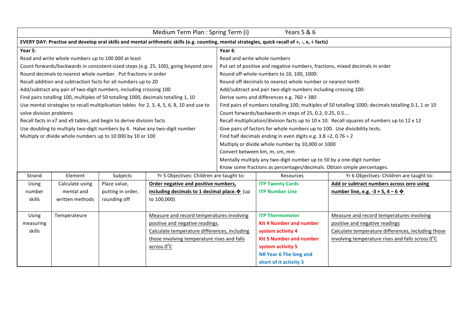| Years 5 & 6<br>Medium Term Plan : Spring Term (i)                                                                                                                    |                                                                                                      |  |  |  |  |  |
|----------------------------------------------------------------------------------------------------------------------------------------------------------------------|------------------------------------------------------------------------------------------------------|--|--|--|--|--|
| EVERY DAY: Practise and develop oral skills and mental arithmetic skills (e.g. counting, mental strategies, quick recall of +, -, x, ÷ facts)                        |                                                                                                      |  |  |  |  |  |
| Year 5:<br>Year 6:                                                                                                                                                   |                                                                                                      |  |  |  |  |  |
| Read and write whole numbers up to 100 000 at least<br>Read and write whole numbers                                                                                  |                                                                                                      |  |  |  |  |  |
| Count forwards/backwards in consistent-sized steps (e.g. 25, 100), going beyond zero<br>Put set of positive and negative numbers, fractions, mixed decimals in order |                                                                                                      |  |  |  |  |  |
| Round decimals to nearest whole number. Put fractions in order<br>Round off whole numbers to 10, 100, 1000:                                                          |                                                                                                      |  |  |  |  |  |
| Recall addition and subtraction facts for all numbers up to 20<br>Round off decimals to nearest whole number or nearest tenth                                        |                                                                                                      |  |  |  |  |  |
| Add/subtract any pair of two-digit numbers, including crossing 100<br>Add/subtract and pair two-digit numbers including crossing 100:                                |                                                                                                      |  |  |  |  |  |
| Find pairs totalling 100, multiples of 50 totalling 1000, decimals totalling 1, 10<br>Derive sums and differences e.g. 760 + 380                                     |                                                                                                      |  |  |  |  |  |
| Use mental strategies to recall multiplication tables for 2, 3, 4, 5, 6, 8, 10 and use to                                                                            | Find pairs of numbers totalling 100; multiples of 50 totalling 1000; decimals totalling 0.1, 1 or 10 |  |  |  |  |  |
| solve division problems<br>Count forwards/backwards in steps of 25, 0.2, 0.25, 0.5                                                                                   |                                                                                                      |  |  |  |  |  |
| Recall facts in x7 and x9 tables, and begin to derive division facts                                                                                                 | Recall multiplication/division facts up to 10 x 10. Recall squares of numbers up to 12 x 12          |  |  |  |  |  |
| Give pairs of factors for whole numbers up to 100. Use divisibility tests.<br>Use doubling to multiply two-digit numbers by 4. Halve any two-digit number            |                                                                                                      |  |  |  |  |  |
| Multiply or divide whole numbers up to 10 000 by 10 or 100<br>Find half decimals ending in even digits e.g. $3.8 \div 2$ , 0.76 $\div 2$                             |                                                                                                      |  |  |  |  |  |
| Multiply or divide whole number by 10,000 or 1000                                                                                                                    |                                                                                                      |  |  |  |  |  |
| Convert between km, m, cm, mm                                                                                                                                        |                                                                                                      |  |  |  |  |  |
| Mentally multiply any two-digit number up to 50 by a one-digit number                                                                                                |                                                                                                      |  |  |  |  |  |
| Know some fractions as percentages/decimals. Obtain simple percentages.                                                                                              |                                                                                                      |  |  |  |  |  |
| Strand<br>Element<br>Subjects<br>Yr 5 Objectives: Children are taught to:<br>Resources<br>Yr 6 Objectives: Children are taught to:                                   |                                                                                                      |  |  |  |  |  |
| Order negative and positive numbers,<br>Add or subtract numbers across zero using<br><b>Using</b><br>Calculate using<br>Place value,<br><b>ITP Twenty Cards</b>      |                                                                                                      |  |  |  |  |  |
| mental and<br>putting in order,<br>including decimals to 1 decimal place. $\cdot$ (up<br><b>ITP Number Line</b><br>number line, e.g. -3 + 5, 4 – 6 $*$<br>number     |                                                                                                      |  |  |  |  |  |
| to 100,000)<br>skills<br>written methods<br>rounding off                                                                                                             |                                                                                                      |  |  |  |  |  |

**ITP** Thermometer

system activity 4

**system activity 5 NR Year 6 The long and** short of it activity 3

**Kit 4 Number and number** 

Measure and record temperatures involving

Calculate temperature differences, including those involving temperature rises and falls scross  $0^{\circ}$ C

positive and negative readings

**Kit 5 Number and number** 

Temperateure Measure and record temperatures involving

across 0°C

positive and negative readings.

Calculate temperature differences, including those involving temperature rises and falls

Using measuring skills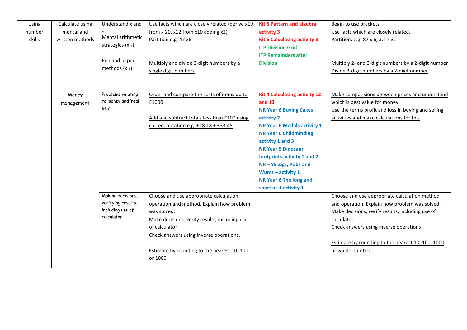| Using  | Calculate using | Understand x and   | Use facts which are closely related (derive x19 | <b>Kit 5 Pattern and algebra</b>     | Begin to use brackets                               |
|--------|-----------------|--------------------|-------------------------------------------------|--------------------------------------|-----------------------------------------------------|
| number | mental and      |                    | from $x 20$ , $x12$ from $x10$ adding $x2$ )    | activity 3                           | Use facts which are closely related.                |
| skills | written methods | Mental arithmetic  | Partition e.g. 47 x6                            | <b>Kit 5 Calculating activity 8</b>  | Partition, e.g. 87 x 6, 3.4 x 3.                    |
|        |                 | strategies $(x +)$ |                                                 | <b>ITP Division Grid</b>             |                                                     |
|        |                 |                    |                                                 | <b>ITP Remainders after</b>          |                                                     |
|        |                 | Pen and paper      | Multiply and divide 3-digit numbers by a        | <b>Division</b>                      | Multiply 2- and 3-digit numbers by a 2-digit number |
|        |                 | methods $(x +)$    | single digit numbers                            |                                      | Divide 3-digit numbers by a 2-digit number          |
|        |                 |                    |                                                 |                                      |                                                     |
|        |                 |                    |                                                 |                                      |                                                     |
|        | Money           | Problems relating  | Order and compare the costs of items up to      | <b>Kit 4 Calculating activity 12</b> | Make comparisions between prices and understand     |
|        | management      | to money and 'real | £1000                                           | and 13                               | which is best value for money                       |
|        |                 | life'              |                                                 | <b>NR Year 6 Buying Cakes</b>        | Use the terms profit and loss in buying and selling |
|        |                 |                    | Add and subtract totals less than £100 using    | activity 2                           | activities and make calculations for this           |
|        |                 |                    | correct notation e.g. £28.18 + £33.45           | <b>NR Year 6 Medals activity 1</b>   |                                                     |
|        |                 |                    |                                                 | <b>NR Year 6 Childminding</b>        |                                                     |
|        |                 |                    |                                                 | activity 1 and 3                     |                                                     |
|        |                 |                    |                                                 | <b>NR Year 5 Dinosaur</b>            |                                                     |
|        |                 |                    |                                                 | footprints activity 1 and 2          |                                                     |
|        |                 |                    |                                                 | NR-Y5 Zigs, Pobs and                 |                                                     |
|        |                 |                    |                                                 | Wums - activity 1                    |                                                     |
|        |                 |                    |                                                 | NR Year 6 The long and               |                                                     |
|        |                 |                    |                                                 | short of it activity 1               |                                                     |
|        |                 | Making decisions,  | Choose and use appropriate calculation          |                                      | Choose and use appropriate calculation method       |
|        |                 | verifying results, | operation and method. Explain how problem       |                                      | and operation. Explain how problem was solved.      |
|        |                 | including use of   | was solved.                                     |                                      | Make decisions, verify results, including use of    |
|        |                 | calculator         | Make decisions, verify results, including use   |                                      | calculator                                          |
|        |                 |                    | of calculator                                   |                                      | Check answers using inverse operations              |
|        |                 |                    | Check answers using inverse operations.         |                                      |                                                     |
|        |                 |                    |                                                 |                                      | Estimate by rounding to the nearest 10, 100, 1000   |
|        |                 |                    | Estimate by rounding to the nearest 10, 100     |                                      | or whole number                                     |
|        |                 |                    | or 1000.                                        |                                      |                                                     |
|        |                 |                    |                                                 |                                      |                                                     |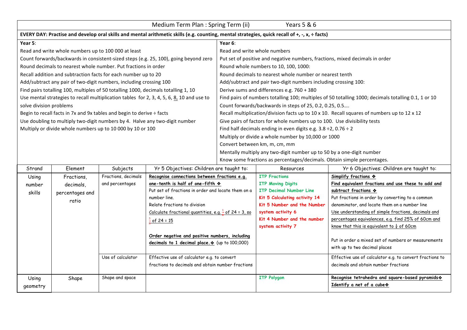|                                                                                                                                               | Medium Term Plan : Spring Term (ii)<br>Years 5 & 6  |                                                                       |                                                                                           |                                                                       |                                                                              |                                                                                                              |  |  |
|-----------------------------------------------------------------------------------------------------------------------------------------------|-----------------------------------------------------|-----------------------------------------------------------------------|-------------------------------------------------------------------------------------------|-----------------------------------------------------------------------|------------------------------------------------------------------------------|--------------------------------------------------------------------------------------------------------------|--|--|
| EVERY DAY: Practise and develop oral skills and mental arithmetic skills (e.g. counting, mental strategies, quick recall of +, -, x, ÷ facts) |                                                     |                                                                       |                                                                                           |                                                                       |                                                                              |                                                                                                              |  |  |
| Year 5:                                                                                                                                       |                                                     |                                                                       |                                                                                           | Year 6:                                                               |                                                                              |                                                                                                              |  |  |
|                                                                                                                                               | Read and write whole numbers up to 100 000 at least |                                                                       |                                                                                           | Read and write whole numbers                                          |                                                                              |                                                                                                              |  |  |
|                                                                                                                                               |                                                     |                                                                       | Count forwards/backwards in consistent-sized steps (e.g. 25, 100), going beyond zero      |                                                                       | Put set of positive and negative numbers, fractions, mixed decimals in order |                                                                                                              |  |  |
|                                                                                                                                               |                                                     | Round decimals to nearest whole number. Put fractions in order        |                                                                                           |                                                                       | Round whole numbers to 10, 100, 1000:                                        |                                                                                                              |  |  |
|                                                                                                                                               |                                                     | Recall addition and subtraction facts for each number up to 20        |                                                                                           |                                                                       | Round decimals to nearest whole number or nearest tenth                      |                                                                                                              |  |  |
|                                                                                                                                               |                                                     | Add/subtract any pair of two-digit numbers, including crossing 100    |                                                                                           |                                                                       | Add/subtract and pair two-digit numbers including crossing 100:              |                                                                                                              |  |  |
|                                                                                                                                               |                                                     |                                                                       | Find pairs totalling 100, multiples of 50 totalling 1000, decimals totalling 1, 10        |                                                                       | Derive sums and differences e.g. 760 + 380                                   |                                                                                                              |  |  |
|                                                                                                                                               |                                                     |                                                                       | Use mental strategies to recall multiplication tables for 2, 3, 4, 5, 6, 8, 10 and use to |                                                                       |                                                                              | Find pairs of numbers totalling 100; multiples of 50 totalling 1000; decimals totalling 0.1, 1 or 10         |  |  |
| solve division problems                                                                                                                       |                                                     |                                                                       |                                                                                           |                                                                       | Count forwards/backwards in steps of 25, 0.2, 0.25, 0.5                      |                                                                                                              |  |  |
|                                                                                                                                               |                                                     | Begin to recall facts in 7x and 9x tables and begin to derive ÷ facts |                                                                                           |                                                                       |                                                                              | Recall multiplication/division facts up to 10 x 10. Recall squares of numbers up to 12 x 12                  |  |  |
|                                                                                                                                               |                                                     |                                                                       | Use doubling to multiply two-digit numbers by 4. Halve any two-digit number               |                                                                       | Give pairs of factors for whole numbers up to 100. Use divisibility tests    |                                                                                                              |  |  |
|                                                                                                                                               |                                                     | Multiply or divide whole numbers up to 10 000 by 10 or 100            |                                                                                           |                                                                       | Find half decimals ending in even digits e.g. $3.8 \div 2$ , 0.76 $\div 2$   |                                                                                                              |  |  |
|                                                                                                                                               |                                                     |                                                                       |                                                                                           |                                                                       | Multiply or divide a whole number by 10,000 or 1000                          |                                                                                                              |  |  |
|                                                                                                                                               |                                                     |                                                                       |                                                                                           | Convert between km, m, cm, mm                                         |                                                                              |                                                                                                              |  |  |
|                                                                                                                                               |                                                     |                                                                       |                                                                                           | Mentally multiply any two-digit number up to 50 by a one-digit number |                                                                              |                                                                                                              |  |  |
|                                                                                                                                               |                                                     |                                                                       |                                                                                           |                                                                       | Know some fractions as percentages/decimals. Obtain simple percentages.      |                                                                                                              |  |  |
| Strand                                                                                                                                        | Element                                             | Subjects                                                              | Yr 5 Objectives: Children are taught to:                                                  |                                                                       | <b>Resources</b>                                                             | Yr 6 Objectives: Children are taught to:                                                                     |  |  |
| Using                                                                                                                                         | Fractions,                                          | Fractions, decimals                                                   | Recognise connections between fractions e.g.                                              |                                                                       | <b>ITP Fractions</b>                                                         | Simplify fractions *                                                                                         |  |  |
| number                                                                                                                                        | decimals,                                           | and percentages                                                       | one-tenth is half of one-fifth $\diamondsuit$                                             |                                                                       | <b>ITP Moving Digits</b>                                                     | Find equivalent fractions and use these to add and                                                           |  |  |
| skills                                                                                                                                        | percentages and                                     |                                                                       | Put set of fractions in order and locate them on a                                        |                                                                       | <b>ITP Decimal Number Line</b>                                               | subtract fractions *                                                                                         |  |  |
|                                                                                                                                               | ratio                                               |                                                                       | number line.                                                                              |                                                                       | Kit 5 Calculating activity 14                                                | Put fractions in order by converting to a common                                                             |  |  |
|                                                                                                                                               |                                                     |                                                                       | Relate fractions to division                                                              |                                                                       | Kit 5 Number and the Number                                                  | denominator, and locate them on a number line                                                                |  |  |
|                                                                                                                                               |                                                     |                                                                       | Calculate fractional quantities, e.g. $\frac{1}{8}$ of 24 = 3, so                         |                                                                       | system activity 6                                                            | Use understanding of simple fractions, decimals and                                                          |  |  |
|                                                                                                                                               |                                                     |                                                                       | $\frac{5}{2}$ of 24 = 15                                                                  |                                                                       | Kit 4 Number and the number<br>system activity 7                             | percentages equivalences, e.g. find 25% of 60cm and<br>know that this is equivalent to $\frac{1}{4}$ of 60cm |  |  |
|                                                                                                                                               |                                                     |                                                                       |                                                                                           |                                                                       |                                                                              |                                                                                                              |  |  |
|                                                                                                                                               |                                                     |                                                                       | Order negative and positive numbers, including                                            |                                                                       |                                                                              | Put in order a mixed set of numbers or measurements                                                          |  |  |
|                                                                                                                                               |                                                     |                                                                       | decimals to 1 decimal place. • (up to 100,000)                                            |                                                                       |                                                                              | with up to two decimal places                                                                                |  |  |
|                                                                                                                                               |                                                     | Use of calculator                                                     | Effective use of calculator e.g. to convert                                               |                                                                       |                                                                              | Effective use of calculator e.g. to convert fractions to                                                     |  |  |
|                                                                                                                                               |                                                     |                                                                       | fractions to decimals and obtain number fractions                                         |                                                                       |                                                                              | decimals and obtain number fractions                                                                         |  |  |
| Using                                                                                                                                         | Shape                                               | Shape and space                                                       |                                                                                           |                                                                       | <b>ITP Polygon</b>                                                           | Recognise tetrahedra and square-based pyramids *                                                             |  |  |
| geometry                                                                                                                                      |                                                     |                                                                       |                                                                                           |                                                                       |                                                                              | Identify a net of a cube *                                                                                   |  |  |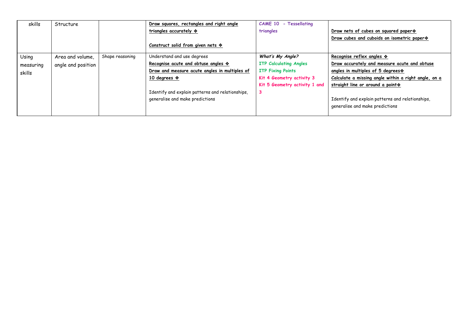| skills    | Structure          |                 | Draw squares, rectangles and right angle           | <b>Tessellating</b><br>$CAME 10 -$ |                                                      |
|-----------|--------------------|-----------------|----------------------------------------------------|------------------------------------|------------------------------------------------------|
|           |                    |                 | triangles accurately $\diamondsuit$                | triangles                          | Draw nets of cubes on squared paper *                |
|           |                    |                 |                                                    |                                    | Draw cubes and cuboids on isometric paper *          |
|           |                    |                 | Construct solid from given nets $\hat{\mathbf{v}}$ |                                    |                                                      |
| Using     | Area and volume.   | Shape reasoning | Understand and use degrees                         | What's My Angle?                   | Recognise reflex angles $\hat{\mathbf{v}}$           |
| measuring | angle and position |                 | Recognise acute and obtuse angles $\diamondsuit$   | <b>ITP Calculating Angles</b>      | Draw accurately and measure acute and obtuse         |
| skills    |                    |                 | Draw and measure acute angles in multiples of      | <b>ITP Fixing Points</b>           | angles in multiples of 5 degrees $\diamond$          |
|           |                    |                 | 10 degrees $\cdot$                                 | Kit 4 Geometry activity 3          | Calculate a missing angle within a right angle, on a |
|           |                    |                 |                                                    | Kit 5 Geometry activity 1 and      | straight line or around a point :                    |
|           |                    |                 | Identify and explain patterns and relationships,   | 3                                  |                                                      |
|           |                    |                 | generalise and make predictions                    |                                    | Identify and explain patterns and relationships,     |
|           |                    |                 |                                                    |                                    | generalise and make predictions                      |
|           |                    |                 |                                                    |                                    |                                                      |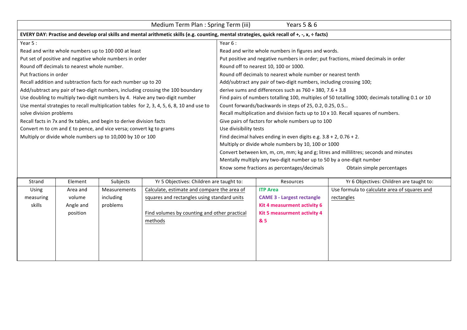|                         | Medium Term Plan : Spring Term (iii)<br>Years 5 & 6                                                                                           |                                                                      |                                                                                           |                                                                                      |                                                                     |                                                                                                   |  |  |  |
|-------------------------|-----------------------------------------------------------------------------------------------------------------------------------------------|----------------------------------------------------------------------|-------------------------------------------------------------------------------------------|--------------------------------------------------------------------------------------|---------------------------------------------------------------------|---------------------------------------------------------------------------------------------------|--|--|--|
|                         | EVERY DAY: Practise and develop oral skills and mental arithmetic skills (e.g. counting, mental strategies, quick recall of +, -, x, + facts) |                                                                      |                                                                                           |                                                                                      |                                                                     |                                                                                                   |  |  |  |
| Year $5:$               |                                                                                                                                               |                                                                      |                                                                                           | Year 6:                                                                              |                                                                     |                                                                                                   |  |  |  |
|                         |                                                                                                                                               | Read and write whole numbers up to 100 000 at least                  |                                                                                           |                                                                                      | Read and write whole numbers in figures and words.                  |                                                                                                   |  |  |  |
|                         |                                                                                                                                               | Put set of positive and negative whole numbers in order              |                                                                                           |                                                                                      |                                                                     | Put positive and negative numbers in order; put fractions, mixed decimals in order                |  |  |  |
|                         | Round off decimals to nearest whole number.                                                                                                   |                                                                      |                                                                                           |                                                                                      | Round off to nearest 10, 100 or 1000.                               |                                                                                                   |  |  |  |
| Put fractions in order  |                                                                                                                                               |                                                                      |                                                                                           |                                                                                      | Round off decimals to nearest whole number or nearest tenth         |                                                                                                   |  |  |  |
|                         |                                                                                                                                               | Recall addition and subtraction facts for each number up to 20       |                                                                                           |                                                                                      | Add/subtract any pair of two-digit numbers, including crossing 100; |                                                                                                   |  |  |  |
|                         |                                                                                                                                               |                                                                      | Add/subtract any pair of two-digit numbers, including crossing the 100 boundary           |                                                                                      | derive sums and differences such as $760 + 380$ , $7.6 + 3.8$       |                                                                                                   |  |  |  |
|                         |                                                                                                                                               |                                                                      | Use doubling to multiply two-digit numbers by 4. Halve any two-digit number               |                                                                                      |                                                                     | Find pairs of numbers totalling 100, multiples of 50 totalling 1000; decimals totalling 0.1 or 10 |  |  |  |
|                         |                                                                                                                                               |                                                                      | Use mental strategies to recall multiplication tables for 2, 3, 4, 5, 6, 8, 10 and use to | Count forwards/backwards in steps of 25, 0.2, 0.25, 0.5                              |                                                                     |                                                                                                   |  |  |  |
| solve division problems |                                                                                                                                               |                                                                      |                                                                                           | Recall multiplication and division facts up to 10 x 10. Recall squares of numbers.   |                                                                     |                                                                                                   |  |  |  |
|                         |                                                                                                                                               | Recall facts in 7x and 9x tables, and begin to derive division facts |                                                                                           | Give pairs of factors for whole numbers up to 100                                    |                                                                     |                                                                                                   |  |  |  |
|                         |                                                                                                                                               | Convert m to cm and £ to pence, and vice versa; convert kg to grams  |                                                                                           | Use divisibility tests                                                               |                                                                     |                                                                                                   |  |  |  |
|                         |                                                                                                                                               | Multiply or divide whole numbers up to 10,000 by 10 or 100           |                                                                                           | Find decimal halves ending in even digits e.g. $3.8 + 2$ , 0.76 + 2.                 |                                                                     |                                                                                                   |  |  |  |
|                         |                                                                                                                                               |                                                                      |                                                                                           | Multiply or divide whole numbers by 10, 100 or 1000                                  |                                                                     |                                                                                                   |  |  |  |
|                         |                                                                                                                                               |                                                                      |                                                                                           | Convert between km, m, cm, mm; kg and g; litres and millilitres; seconds and minutes |                                                                     |                                                                                                   |  |  |  |
|                         |                                                                                                                                               |                                                                      |                                                                                           | Mentally multiply any two-digit number up to 50 by a one-digit number                |                                                                     |                                                                                                   |  |  |  |
|                         |                                                                                                                                               |                                                                      |                                                                                           | Know some fractions as percentages/decimals<br>Obtain simple percentages             |                                                                     |                                                                                                   |  |  |  |
|                         |                                                                                                                                               |                                                                      |                                                                                           |                                                                                      |                                                                     |                                                                                                   |  |  |  |
| Strand                  | Element                                                                                                                                       | Subjects                                                             | Yr 5 Objectives: Children are taught to:                                                  |                                                                                      | Resources                                                           | Yr 6 Objectives: Children are taught to:                                                          |  |  |  |
| Using                   | Area and                                                                                                                                      | <b>Measurements</b>                                                  | Calculate, estimate and compare the area of                                               |                                                                                      | <b>ITP Area</b>                                                     | Use formula to calculate area of squares and                                                      |  |  |  |
| measuring               | volume                                                                                                                                        | including                                                            | squares and rectangles using standard units                                               |                                                                                      | <b>CAME 3 - Largest rectangle</b>                                   | rectangles                                                                                        |  |  |  |
| skills                  | Angle and                                                                                                                                     | problems                                                             |                                                                                           |                                                                                      | Kit 4 measurment activity 6                                         |                                                                                                   |  |  |  |

**Kit 5 measurment activity 4** 

**& 5**

Find volumes by counting and other practical

methods

position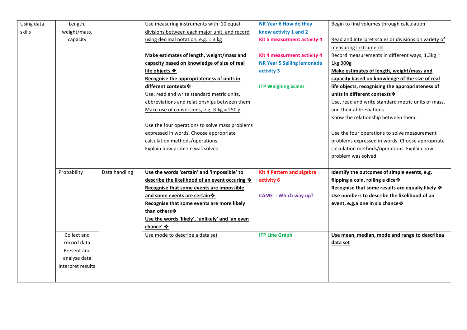| Using data | Length,           |               | Use measuring instruments with 10 equal                | NR Year 6 How do they             | Begin to find volumes through calculation            |
|------------|-------------------|---------------|--------------------------------------------------------|-----------------------------------|------------------------------------------------------|
| skills     | weight/mass,      |               | divisions between each major unit, and record          | know activity 1 and 2             |                                                      |
|            | capacity          |               | using decimal notation, e.g. 1.3 kg                    | Kit 5 measurment activity 4       | Read and interpret scales or divisions on variety of |
|            |                   |               |                                                        |                                   | measuring instruments                                |
|            |                   |               | Make estimates of length, weight/mass and              | Kit 4 measurment activity 4       | Record measurements in different ways, 1.3kg =       |
|            |                   |               | capacity based on knowledge of size of real            | <b>NR Year 5 Selling lemonade</b> | 1kg 300g                                             |
|            |                   |               | life objects ❖                                         | activity 3                        | Make estimates of length, weight/mass and            |
|            |                   |               | Recognise the appropriateness of units in              |                                   | capacity based on knowledge of the size of real      |
|            |                   |               | different contexts *                                   | <b>ITP Weighing Scales</b>        | life objects, recognising the appropriateness of     |
|            |                   |               | Use, read and write standard metric units,             |                                   | units in different contexts *                        |
|            |                   |               | abbreviations and relationships between them           |                                   | Use, read and write standard metric units of mass,   |
|            |                   |               | Make use of conversions, e.g. $\frac{1}{4}$ kg = 250 g |                                   | and their abbreviations.                             |
|            |                   |               |                                                        |                                   | Know the relationship between them.                  |
|            |                   |               | Use the four operations to solve mass problems         |                                   |                                                      |
|            |                   |               | expressed in words. Choose appropriate                 |                                   | Use the four operations to solve measurement         |
|            |                   |               | calculation methods/operations.                        |                                   | problems expressed in words. Choose appropriate      |
|            |                   |               | Explain how problem was solved                         |                                   | calculation methods/operations. Explain how          |
|            |                   |               |                                                        |                                   | problem was solved.                                  |
|            |                   |               |                                                        |                                   |                                                      |
|            | Probability       | Data handling | Use the words 'certain' and 'impossible' to            | <b>Kit 4 Pattern and algebra</b>  | Identify the outcomes of simple events, e.g.         |
|            |                   |               | describe the likelihood of an event occuring $*$       | activity 6                        | flipping a coin, rolling a dice ♦                    |
|            |                   |               | Recognise that some events are impossible              |                                   | Recognise that some results are equaliy likely *     |
|            |                   |               | and some events are certain *                          | CAME - Which way up?              | Use numbers to describe the likelihood of an         |
|            |                   |               | Recognise that some events are more likely             |                                   | event, e.g.a one in six chance *                     |
|            |                   |               | than others *                                          |                                   |                                                      |
|            |                   |               | Use the words 'likely', 'unlikely' and 'an even        |                                   |                                                      |
|            |                   |               | chance' ❖                                              |                                   |                                                      |
|            | Collect and       |               | Use mode to describe a data set                        | <b>ITP Line Graph</b>             | Use mean, median, mode and range to describea        |
|            | record data       |               |                                                        |                                   | data set                                             |
|            | Present and       |               |                                                        |                                   |                                                      |
|            | analyse data      |               |                                                        |                                   |                                                      |
|            | Interpret results |               |                                                        |                                   |                                                      |
|            |                   |               |                                                        |                                   |                                                      |
|            |                   |               |                                                        |                                   |                                                      |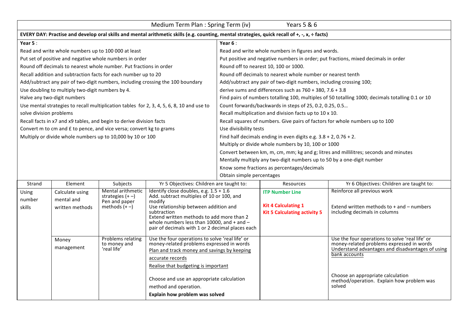|                                                                                                                                               | Years 5 & 6<br>Medium Term Plan : Spring Term (iv)                   |                                         |                                                                                                    |                                                                                      |                                                                              |                                                                                                   |  |  |
|-----------------------------------------------------------------------------------------------------------------------------------------------|----------------------------------------------------------------------|-----------------------------------------|----------------------------------------------------------------------------------------------------|--------------------------------------------------------------------------------------|------------------------------------------------------------------------------|---------------------------------------------------------------------------------------------------|--|--|
| EVERY DAY: Practise and develop oral skills and mental arithmetic skills (e.g. counting, mental strategies, quick recall of +, -, x, + facts) |                                                                      |                                         |                                                                                                    |                                                                                      |                                                                              |                                                                                                   |  |  |
| Year $5:$                                                                                                                                     |                                                                      |                                         |                                                                                                    | Year $6:$                                                                            |                                                                              |                                                                                                   |  |  |
|                                                                                                                                               | Read and write whole numbers up to 100 000 at least                  |                                         |                                                                                                    |                                                                                      | Read and write whole numbers in figures and words.                           |                                                                                                   |  |  |
|                                                                                                                                               | Put set of positive and negative whole numbers in order              |                                         |                                                                                                    |                                                                                      |                                                                              | Put positive and negative numbers in order; put fractions, mixed decimals in order                |  |  |
|                                                                                                                                               | Round off decimals to nearest whole number. Put fractions in order   |                                         |                                                                                                    |                                                                                      | Round off to nearest 10, 100 or 1000.                                        |                                                                                                   |  |  |
|                                                                                                                                               | Recall addition and subtraction facts for each number up to 20       |                                         |                                                                                                    |                                                                                      | Round off decimals to nearest whole number or nearest tenth                  |                                                                                                   |  |  |
|                                                                                                                                               |                                                                      |                                         | Add/subtract any pair of two-digit numbers, including crossing the 100 boundary                    |                                                                                      | Add/subtract any pair of two-digit numbers, including crossing 100;          |                                                                                                   |  |  |
|                                                                                                                                               | Use doubling to multiply two-digit numbers by 4.                     |                                         |                                                                                                    |                                                                                      | derive sums and differences such as $760 + 380$ , $7.6 + 3.8$                |                                                                                                   |  |  |
|                                                                                                                                               | Halve any two-digit numbers                                          |                                         |                                                                                                    |                                                                                      |                                                                              | Find pairs of numbers totalling 100, multiples of 50 totalling 1000; decimals totalling 0.1 or 10 |  |  |
|                                                                                                                                               |                                                                      |                                         | Use mental strategies to recall multiplication tables for 2, 3, 4, 5, 6, 8, 10 and use to          |                                                                                      | Count forwards/backwards in steps of 25, 0.2, 0.25, 0.5                      |                                                                                                   |  |  |
| solve division problems                                                                                                                       |                                                                      |                                         |                                                                                                    |                                                                                      | Recall multiplication and division facts up to 10 x 10.                      |                                                                                                   |  |  |
|                                                                                                                                               | Recall facts in x7 and x9 tables, and begin to derive division facts |                                         |                                                                                                    |                                                                                      | Recall squares of numbers. Give pairs of factors for whole numbers up to 100 |                                                                                                   |  |  |
|                                                                                                                                               | Convert m to cm and £ to pence, and vice versa; convert kg to grams  |                                         |                                                                                                    | Use divisibility tests                                                               |                                                                              |                                                                                                   |  |  |
|                                                                                                                                               | Multiply or divide whole numbers up to 10,000 by 10 or 100           |                                         |                                                                                                    |                                                                                      | Find half decimals ending in even digits e.g. $3.8 + 2$ , 0.76 + 2.          |                                                                                                   |  |  |
|                                                                                                                                               |                                                                      |                                         |                                                                                                    | Multiply or divide whole numbers by 10, 100 or 1000                                  |                                                                              |                                                                                                   |  |  |
|                                                                                                                                               |                                                                      |                                         |                                                                                                    | Convert between km, m, cm, mm; kg and g; litres and millilitres; seconds and minutes |                                                                              |                                                                                                   |  |  |
|                                                                                                                                               |                                                                      |                                         |                                                                                                    | Mentally multiply any two-digit numbers up to 50 by a one-digit number               |                                                                              |                                                                                                   |  |  |
|                                                                                                                                               |                                                                      |                                         |                                                                                                    | Know some fractions as percentages/decimals                                          |                                                                              |                                                                                                   |  |  |
|                                                                                                                                               |                                                                      |                                         |                                                                                                    | Obtain simple percentages                                                            |                                                                              |                                                                                                   |  |  |
| Strand                                                                                                                                        | Element                                                              | Subjects                                | Yr 5 Objectives: Children are taught to:                                                           |                                                                                      | Resources                                                                    | Yr 6 Objectives: Children are taught to:                                                          |  |  |
| Using                                                                                                                                         | Calculate using                                                      | Mental arithmetic<br>strategies $(+ -)$ | Identify close doubles, e.g. $1.5 + 1.6$<br>Add. subtract multiples of 10 or 100, and              |                                                                                      | <b>ITP Number Line</b>                                                       | Reinforce all previous work                                                                       |  |  |
| number                                                                                                                                        | mental and                                                           | Pen and paper                           | modify                                                                                             |                                                                                      |                                                                              |                                                                                                   |  |  |
| <b>skills</b>                                                                                                                                 | written methods                                                      | methods $(+-)$                          | Use relationship between addition and<br>subtraction                                               |                                                                                      | <b>Kit 4 Calculating 1</b><br><b>Kit 5 Calculating activity 5</b>            | Extend written methods to $+$ and $-$ numbers<br>including decimals in columns                    |  |  |
|                                                                                                                                               |                                                                      |                                         | Extend written methods to add more than 2                                                          |                                                                                      |                                                                              |                                                                                                   |  |  |
|                                                                                                                                               |                                                                      |                                         | whole numbers less than 10000, and $+$ and $-$<br>pair of decimals with 1 or 2 decimal places each |                                                                                      |                                                                              |                                                                                                   |  |  |
|                                                                                                                                               |                                                                      |                                         |                                                                                                    |                                                                                      |                                                                              |                                                                                                   |  |  |
|                                                                                                                                               | Money                                                                | Problems relating<br>to money and       | Use the four operations to solve 'real life' or<br>money-related problems expressed in words       |                                                                                      |                                                                              | Use the four operations to solve 'real life' or<br>money-related problems expressed in words      |  |  |
|                                                                                                                                               | management                                                           | 'real life'                             | Plan and track money and savings by keeping                                                        |                                                                                      |                                                                              | Understand advantages and disadvantages of using                                                  |  |  |
|                                                                                                                                               |                                                                      |                                         | accurate records                                                                                   |                                                                                      |                                                                              | bank accounts                                                                                     |  |  |
|                                                                                                                                               |                                                                      |                                         | Realise that budgeting is important                                                                |                                                                                      |                                                                              |                                                                                                   |  |  |
|                                                                                                                                               |                                                                      |                                         |                                                                                                    |                                                                                      |                                                                              | Choose an appropriate calculation                                                                 |  |  |
|                                                                                                                                               |                                                                      |                                         | Choose and use an appropriate calculation                                                          |                                                                                      |                                                                              | method/operation. Explain how problem was                                                         |  |  |
|                                                                                                                                               |                                                                      |                                         | method and operation.                                                                              |                                                                                      |                                                                              | solved                                                                                            |  |  |
|                                                                                                                                               |                                                                      |                                         | Explain how problem was solved                                                                     |                                                                                      |                                                                              |                                                                                                   |  |  |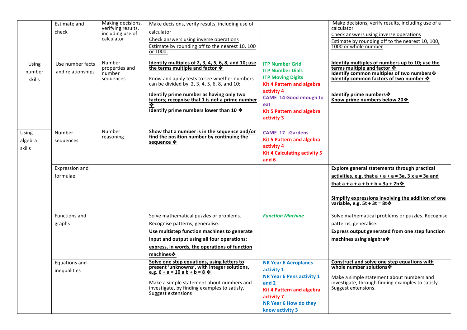|                            | <b>Estimate and</b><br>check          | Making decisions,<br>verifying results,<br>including use of<br>calculator | Make decisions, verify results, including use of<br>calculator<br>Check answers using inverse operations<br>Estimate by rounding off to the nearest 10, 100<br>or 1000.                                                                                                                                                                                                      |                                                                                                                                                                                                                           | Make decisions, verify results, including use of a<br>calculator<br>Check answers using inverse operations<br>Estimate by rounding off to the nearest 10, 100,<br>1000 or whole number                                                                 |
|----------------------------|---------------------------------------|---------------------------------------------------------------------------|------------------------------------------------------------------------------------------------------------------------------------------------------------------------------------------------------------------------------------------------------------------------------------------------------------------------------------------------------------------------------|---------------------------------------------------------------------------------------------------------------------------------------------------------------------------------------------------------------------------|--------------------------------------------------------------------------------------------------------------------------------------------------------------------------------------------------------------------------------------------------------|
| Using<br>number<br>skills  | Use number facts<br>and relationships | Number<br>properties and<br>number<br>sequences                           | Identify multiples of 2, 3, 4, 5, 6, 8, and 10; use<br>the terms multiple and factor $\mathbf{\hat{\mathbf{\hat{v}}}}$<br>Know and apply tests to see whether numbers<br>can be divided by 2, 3, 4, 5, 6, 8, and 10;<br>Identify prime number as having only two<br>factors; recognise that 1 is not a prime number<br>❖<br>Identify prime numbers lower than 10 $\clubsuit$ | <b>ITP Number Grid</b><br><b>ITP Number Dials</b><br><b>ITP Moving Digits</b><br><b>Kit 4 Pattern and algebra</b><br>activity 4<br><b>CAME 14 Good enough to</b><br>eat<br><b>Kit 5 Pattern and algebra</b><br>activity 3 | Identify multiples of numbers up to 10; use the<br>terms multiple and factor $\clubsuit$<br>Identify common multiples of two numbers *<br>Identify common factors of two number $\clubsuit$<br>Identify prime numbers<br>Know prime numbers below 20 * |
| Using<br>algebra<br>skills | Number<br>sequences                   | Number<br>reasoning                                                       | Show that a number is in the sequence and/or<br>find the position number by continuing the<br>sequence ❖                                                                                                                                                                                                                                                                     | <b>CAME 17 -Gardens</b><br><b>Kit 5 Pattern and algebra</b><br>activity 4<br><b>Kit 4 Calculating activity 5</b><br>and $6$                                                                                               |                                                                                                                                                                                                                                                        |
|                            | Expression and<br>formulae            |                                                                           |                                                                                                                                                                                                                                                                                                                                                                              |                                                                                                                                                                                                                           | Explore general statements through practical<br>activities, e.g. that $a + a + a = 3a$ , $3 \times a = 3a$ and<br>that $a + a + a + b + b = 3a + 2b$<br>Simplify expressions involving the addition of one<br>variable, e.g. $5t + 3t = 8t$            |
|                            | <b>Functions and</b><br>graphs        |                                                                           | Solve mathematical puzzles or problems.<br>Recognise patterns, generalise.<br>Use multistep function machines to generate<br>input and output using all four operations;<br>express, in words, the operations of function<br>machines <b>❖</b>                                                                                                                               | <b>Function Machine</b>                                                                                                                                                                                                   | Solve mathematical problems or puzzles. Recognise<br>patterns, generalise.<br>Express output generated from one step function<br>machines using algebra *                                                                                              |
|                            | Equations and<br>inequalities         |                                                                           | Solve one step equations, using letters to<br>present 'unknowns', with integer solutions,<br>e.g. $6 + a = 10$ a $b + b = 8$ $\diamondsuit$<br>Make a simple statement about numbers and<br>investigate, by finding examples to satisfy.<br>Suggest extensions                                                                                                               | <b>NR Year 6 Aeroplanes</b><br>activity 1<br><b>NR Year 6 Pens activity 1</b><br>and 2<br><b>Kit 4 Pattern and algebra</b><br>activity 7<br>NR Year 6 How do they<br>know activity 3                                      | Construct and solve one step equations with<br>whole number solutions *<br>Make a simple statement about numbers and<br>investigate, through finding examples to satisfy.<br>Suggest extensions.                                                       |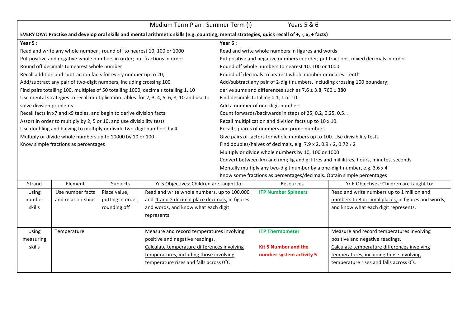|                         | Years 5 & 6<br>Medium Term Plan : Summer Term (i)                                                                                             |                   |                                                                                           |                                                                                      |                                                                            |                                                                                    |  |  |
|-------------------------|-----------------------------------------------------------------------------------------------------------------------------------------------|-------------------|-------------------------------------------------------------------------------------------|--------------------------------------------------------------------------------------|----------------------------------------------------------------------------|------------------------------------------------------------------------------------|--|--|
|                         | EVERY DAY: Practise and develop oral skills and mental arithmetic skills (e.g. counting, mental strategies, quick recall of +, -, x, + facts) |                   |                                                                                           |                                                                                      |                                                                            |                                                                                    |  |  |
| Year $5:$               |                                                                                                                                               |                   |                                                                                           | Year $6:$                                                                            |                                                                            |                                                                                    |  |  |
|                         | Read and write any whole number ; round off to nearest 10, 100 or 1000                                                                        |                   |                                                                                           |                                                                                      | Read and write whole numbers in figures and words                          |                                                                                    |  |  |
|                         | Put positive and negative whole numbers in order; put fractions in order                                                                      |                   |                                                                                           |                                                                                      |                                                                            | Put positive and negative numbers in order; put fractions, mixed decimals in order |  |  |
|                         | Round off decimals to nearest whole number                                                                                                    |                   |                                                                                           |                                                                                      | Round off whole numbers to nearest 10, 100 or 1000                         |                                                                                    |  |  |
|                         | Recall addition and subtraction facts for every number up to 20;                                                                              |                   |                                                                                           |                                                                                      | Round off decimals to nearest whole number or nearest tenth                |                                                                                    |  |  |
|                         | Add/subtract any pair of two-digit numbers, including crossing 100                                                                            |                   |                                                                                           |                                                                                      | Add/subtract any pair of 2-digit numbers, including crossing 100 boundary; |                                                                                    |  |  |
|                         |                                                                                                                                               |                   | Find pairs totalling 100, multiples of 50 totalling 1000, decimals totalling 1, 10        |                                                                                      | derive sums and differences such as $7.6 \pm 3.8$ , $760 \pm 380$          |                                                                                    |  |  |
|                         |                                                                                                                                               |                   | Use mental strategies to recall multiplication tables for 2, 3, 4, 5, 6, 8, 10 and use to | Find decimals totalling 0.1, 1 or 10                                                 |                                                                            |                                                                                    |  |  |
| solve division problems |                                                                                                                                               |                   |                                                                                           | Add a number of one-digit numbers                                                    |                                                                            |                                                                                    |  |  |
|                         | Recall facts in x7 and x9 tables, and begin to derive division facts                                                                          |                   |                                                                                           | Count forwards/backwards in steps of 25, 0.2, 0.25, 0.5                              |                                                                            |                                                                                    |  |  |
|                         | Assort in order to multiply by 2, 5 or 10, and use divisibility tests                                                                         |                   |                                                                                           | Recall multiplication and division facts up to 10 x 10.                              |                                                                            |                                                                                    |  |  |
|                         | Use doubling and halving to multiply or divide two-digit numbers by 4                                                                         |                   |                                                                                           | Recall squares of numbers and prime numbers                                          |                                                                            |                                                                                    |  |  |
|                         | Multiply or divide whole numbers up to 10000 by 10 or 100                                                                                     |                   |                                                                                           | Give pairs of factors for whole numbers up to 100. Use divisibility tests            |                                                                            |                                                                                    |  |  |
|                         | Know simple fractions as percentages                                                                                                          |                   |                                                                                           | Find doubles/halves of decimals, e.g. 7.9 x 2, 0.9 $\div$ 2, 0.72 $\div$ 2           |                                                                            |                                                                                    |  |  |
|                         |                                                                                                                                               |                   |                                                                                           | Multiply or divide whole numbers by 10, 100 or 1000                                  |                                                                            |                                                                                    |  |  |
|                         |                                                                                                                                               |                   |                                                                                           | Convert between km and mm; kg and g; litres and millilitres, hours, minutes, seconds |                                                                            |                                                                                    |  |  |
|                         |                                                                                                                                               |                   |                                                                                           | Mentally multiply any two-digit number by a one-digit number, e.g. 3.6 x 4           |                                                                            |                                                                                    |  |  |
|                         |                                                                                                                                               |                   |                                                                                           | Know some fractions as percentages/decimals. Obtain simple percentages               |                                                                            |                                                                                    |  |  |
| Strand                  | Element                                                                                                                                       | Subjects          | Yr 5 Objectives: Children are taught to:                                                  |                                                                                      | Resources                                                                  | Yr 6 Objectives: Children are taught to:                                           |  |  |
| Using                   | Use number facts                                                                                                                              | Place value,      | Read and write whole numbers, up to 100,000                                               |                                                                                      | <b>ITP Number Spinners</b>                                                 | Read and write numbers up to 1 million and                                         |  |  |
| number                  | and relation-ships                                                                                                                            | putting in order, | and 1 and 2 decimal place decimals, in figures                                            |                                                                                      |                                                                            | numbers to 3 decimal places, in figures and words,                                 |  |  |
| skills                  |                                                                                                                                               | rounding off      | and words, and know what each digit                                                       |                                                                                      |                                                                            | and know what each digit represents.                                               |  |  |

| skills       |             | rounding off | and words, and know what each digit             |                             | and know what each digit represents.             |
|--------------|-------------|--------------|-------------------------------------------------|-----------------------------|--------------------------------------------------|
|              |             |              | represents                                      |                             |                                                  |
|              |             |              |                                                 |                             |                                                  |
| <b>Using</b> | Temperature |              | Measure and record temperatures involving       | <b>ITP Thermometer</b>      | Measure and record temperatures involving        |
| measuring    |             |              | positive and negative readings.                 |                             | positive and negative readings.                  |
| skills       |             |              | Calculate temperature differences involving     | <b>Kit 5 Number and the</b> | Calculate temperature differences involving      |
|              |             |              | temperatures, including those involving         | number system activity 5    | temperatures, including those involving          |
|              |             |              | temperature rises and falls across $0^{\circ}C$ |                             | temperature rises and falls across $0^{\circ}$ C |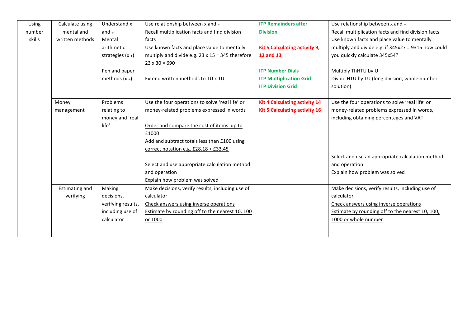| Using  | Calculate using       | Understand x       | Use relationship between x and +                        | <b>ITP Remainders after</b>          | Use relationship between x and +                    |
|--------|-----------------------|--------------------|---------------------------------------------------------|--------------------------------------|-----------------------------------------------------|
| number | mental and            | and $\div$         | Recall multiplication facts and find division           | <b>Division</b>                      | Recall multiplication facts and find division facts |
| skills | written methods       | Mental             | facts                                                   |                                      | Use known facts and place value to mentally         |
|        |                       | arithmetic         | Use known facts and place value to mentally             | Kit 5 Calculating activity 9,        | multiply and divide e.g. if 345x27 = 9315 how could |
|        |                       | strategies $(x +)$ | multiply and divide e.g. $23 \times 15 = 345$ therefore | <b>12 and 13</b>                     | you quickly calculate 345x54?                       |
|        |                       |                    | $23 \times 30 = 690$                                    |                                      |                                                     |
|        |                       | Pen and paper      |                                                         | <b>ITP Number Dials</b>              | Multiply ThHTU by U                                 |
|        |                       | methods $(x +)$    | Extend written methods to TU x TU                       | <b>ITP Multiplication Grid</b>       | Divide HTU by TU (long division, whole number       |
|        |                       |                    |                                                         | <b>ITP Division Grid</b>             | solution)                                           |
|        |                       |                    |                                                         |                                      |                                                     |
|        | Money                 | Problems           | Use the four operations to solve 'real life' or         | <b>Kit 4 Calculating activity 14</b> | Use the four operations to solve 'real life' or     |
|        | management            | relating to        | money-related problems expressed in words               | <b>Kit 5 Calculating activity 16</b> | money-related problems expressed in words,          |
|        |                       | money and 'real    |                                                         |                                      | including obtaining percentages and VAT.            |
|        |                       | life'              | Order and compare the cost of items up to               |                                      |                                                     |
|        |                       |                    | £1000                                                   |                                      |                                                     |
|        |                       |                    | Add and subtract totals less than £100 using            |                                      |                                                     |
|        |                       |                    | correct notation e.g. £28.18 + £33.45                   |                                      |                                                     |
|        |                       |                    |                                                         |                                      | Select and use an appropriate calculation method    |
|        |                       |                    | Select and use appropriate calculation method           |                                      | and operation                                       |
|        |                       |                    | and operation                                           |                                      | Explain how problem was solved                      |
|        |                       |                    | Explain how problem was solved                          |                                      |                                                     |
|        | <b>Estimating and</b> | Making             | Make decisions, verify results, including use of        |                                      | Make decisions, verify results, including use of    |
|        | verifying             | decisions,         | calculator                                              |                                      | calculator                                          |
|        |                       | verifying results, | Check answers using inverse operations                  |                                      | Check answers using inverse operations              |
|        |                       | including use of   | Estimate by rounding off to the nearest 10, 100         |                                      | Estimate by rounding off to the nearest 10, 100,    |
|        |                       | calculator         | or 1000                                                 |                                      | 1000 or whole number                                |
|        |                       |                    |                                                         |                                      |                                                     |
|        |                       |                    |                                                         |                                      |                                                     |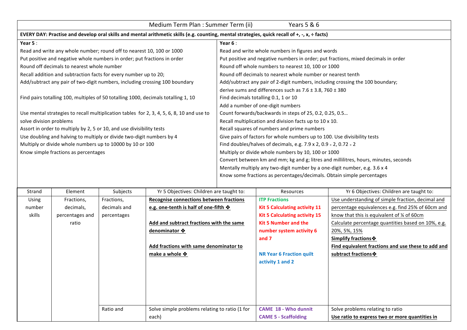|                         | Medium Term Plan : Summer Term (ii)<br>Years 5 & 6                                                                                            |                                                                          |                                                                                           |                                                                                      |                                                                                |                                                                                    |  |  |
|-------------------------|-----------------------------------------------------------------------------------------------------------------------------------------------|--------------------------------------------------------------------------|-------------------------------------------------------------------------------------------|--------------------------------------------------------------------------------------|--------------------------------------------------------------------------------|------------------------------------------------------------------------------------|--|--|
|                         | EVERY DAY: Practise and develop oral skills and mental arithmetic skills (e.g. counting, mental strategies, quick recall of +, -, x, + facts) |                                                                          |                                                                                           |                                                                                      |                                                                                |                                                                                    |  |  |
| Year $5:$               |                                                                                                                                               |                                                                          |                                                                                           | Year $6:$                                                                            |                                                                                |                                                                                    |  |  |
|                         |                                                                                                                                               | Read and write any whole number; round off to nearest 10, 100 or 1000    |                                                                                           |                                                                                      | Read and write whole numbers in figures and words                              |                                                                                    |  |  |
|                         |                                                                                                                                               | Put positive and negative whole numbers in order; put fractions in order |                                                                                           |                                                                                      |                                                                                | Put positive and negative numbers in order; put fractions, mixed decimals in order |  |  |
|                         | Round off decimals to nearest whole number                                                                                                    |                                                                          |                                                                                           |                                                                                      | Round off whole numbers to nearest 10, 100 or 1000                             |                                                                                    |  |  |
|                         |                                                                                                                                               | Recall addition and subtraction facts for every number up to 20;         |                                                                                           |                                                                                      | Round off decimals to nearest whole number or nearest tenth                    |                                                                                    |  |  |
|                         |                                                                                                                                               |                                                                          | Add/subtract any pair of two-digit numbers, including crossing 100 boundary               |                                                                                      | Add/subtract any pair of 2-digit numbers, including crossing the 100 boundary; |                                                                                    |  |  |
|                         |                                                                                                                                               |                                                                          |                                                                                           |                                                                                      | derive sums and differences such as $7.6 \pm 3.8$ , $760 \pm 380$              |                                                                                    |  |  |
|                         |                                                                                                                                               |                                                                          | Find pairs totalling 100, multiples of 50 totalling 1000, decimals totalling 1, 10        | Find decimals totalling 0.1, 1 or 10                                                 |                                                                                |                                                                                    |  |  |
|                         |                                                                                                                                               |                                                                          |                                                                                           | Add a number of one-digit numbers                                                    |                                                                                |                                                                                    |  |  |
|                         |                                                                                                                                               |                                                                          | Use mental strategies to recall multiplication tables for 2, 3, 4, 5, 6, 8, 10 and use to | Count forwards/backwards in steps of 25, 0.2, 0.25, 0.5                              |                                                                                |                                                                                    |  |  |
| solve division problems |                                                                                                                                               |                                                                          |                                                                                           |                                                                                      | Recall multiplication and division facts up to 10 x 10.                        |                                                                                    |  |  |
|                         |                                                                                                                                               | Assort in order to multiply by 2, 5 or 10, and use divisibility tests    |                                                                                           |                                                                                      | Recall squares of numbers and prime numbers                                    |                                                                                    |  |  |
|                         |                                                                                                                                               | Use doubling and halving to multiply or divide two-digit numbers by 4    |                                                                                           |                                                                                      | Give pairs of factors for whole numbers up to 100. Use divisibility tests      |                                                                                    |  |  |
|                         |                                                                                                                                               | Multiply or divide whole numbers up to 10000 by 10 or 100                |                                                                                           | Find doubles/halves of decimals, e.g. 7.9 x 2, 0.9 $\div$ 2, 0.72 $\div$ 2           |                                                                                |                                                                                    |  |  |
|                         | Know simple fractions as percentages                                                                                                          |                                                                          |                                                                                           | Multiply or divide whole numbers by 10, 100 or 1000                                  |                                                                                |                                                                                    |  |  |
|                         |                                                                                                                                               |                                                                          |                                                                                           | Convert between km and mm; kg and g; litres and millilitres, hours, minutes, seconds |                                                                                |                                                                                    |  |  |
|                         |                                                                                                                                               |                                                                          |                                                                                           | Mentally multiply any two-digit number by a one-digit number, e.g. 3.6 x 4           |                                                                                |                                                                                    |  |  |
|                         |                                                                                                                                               |                                                                          |                                                                                           | Know some fractions as percentages/decimals. Obtain simple percentages               |                                                                                |                                                                                    |  |  |
|                         |                                                                                                                                               |                                                                          |                                                                                           |                                                                                      |                                                                                |                                                                                    |  |  |
| Strand                  | Element                                                                                                                                       | Subjects                                                                 | Yr 5 Objectives: Children are taught to:                                                  |                                                                                      | Resources                                                                      | Yr 6 Objectives: Children are taught to:                                           |  |  |
| Using                   | Fractions,                                                                                                                                    | Fractions,                                                               | <b>Recognise connections between fractions</b>                                            |                                                                                      | <b>ITP Fractions</b>                                                           | Use understanding of simple fraction, decimal and                                  |  |  |
| number                  | decimals.                                                                                                                                     | decimals and                                                             | e.g. one-tenth is half of one-fifth $\clubsuit$                                           |                                                                                      | <b>Kit 5 Calculating activity 11</b>                                           | percentage equivalences e.g. find 25% of 60cm and                                  |  |  |

| Using  | Fractions,      | Fractions,   | <b>Recognise connections between fractions</b>  | <b>ITP Fractions</b>                 | Use understanding of simple fraction, decimal and  |
|--------|-----------------|--------------|-------------------------------------------------|--------------------------------------|----------------------------------------------------|
| number | decimals,       | decimals and | e.g. one-tenth is half of one-fifth $\clubsuit$ | <b>Kit 5 Calculating activity 11</b> | percentage equivalences e.g. find 25% of 60cm and  |
| skills | percentages and | percentages  |                                                 | <b>Kit 5 Calculating activity 15</b> | know that this is equivalent of % of 60cm          |
|        | ratio           |              | Add and subtract fractions with the same        | <b>Kit 5 Number and the</b>          | Calculate percentage quantities based on 10%, e.g. |
|        |                 |              | denominator ❖                                   | number system activity 6             | 20%, 5%, 15%                                       |
|        |                 |              |                                                 | and 7                                | Simplify fractions ❖                               |
|        |                 |              | Add fractions with same denominator to          |                                      | Find equivalent fractions and use these to add and |
|        |                 |              | make a whole $\clubsuit$                        | <b>NR Year 6 Fraction quilt</b>      | subtract fractions $\cdot$                         |
|        |                 |              |                                                 | activity 1 and 2                     |                                                    |
|        |                 |              |                                                 |                                      |                                                    |
|        |                 |              |                                                 |                                      |                                                    |
|        |                 |              |                                                 |                                      |                                                    |
|        |                 |              |                                                 |                                      |                                                    |
|        |                 |              |                                                 |                                      |                                                    |
|        |                 | Ratio and    | Solve simple problems relating to ratio (1 for  | <b>CAME 18 - Who dunnit</b>          | Solve problems relating to ratio                   |
|        |                 |              | each)                                           | <b>CAME 5 - Scaffolding</b>          | Use ratio to express two or more quantities in     |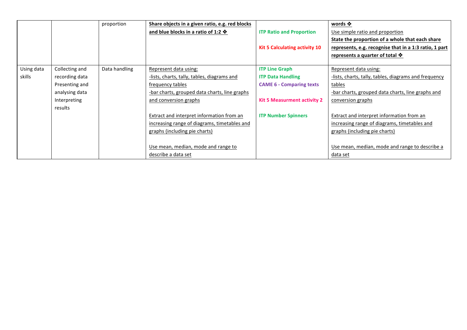|            |                | proportion    | Share objects in a given ratio, e.g. red blocks |                                      | words $\mathbf{\hat{v}}$                               |
|------------|----------------|---------------|-------------------------------------------------|--------------------------------------|--------------------------------------------------------|
|            |                |               | and blue blocks in a ratio of 1:2 $\clubsuit$   | <b>ITP Ratio and Proportion</b>      | Use simple ratio and proportion                        |
|            |                |               |                                                 |                                      | State the proportion of a whole that each share        |
|            |                |               |                                                 | <b>Kit 5 Calculating activity 10</b> | represents, e.g. recognise that in a 1:3 ratio, 1 part |
|            |                |               |                                                 |                                      | represents a quarter of total $\clubsuit$              |
|            |                |               |                                                 |                                      |                                                        |
| Using data | Collecting and | Data handling | Represent data using:                           | <b>ITP Line Graph</b>                | Represent data using:                                  |
| skills     | recording data |               | -lists, charts, tally, tables, diagrams and     | <b>ITP Data Handling</b>             | -lists, charts, tally, tables, diagrams and frequency  |
|            | Presenting and |               | frequency tables                                | <b>CAME 6 - Comparing texts</b>      | tables                                                 |
|            | analysing data |               | -bar charts, grouped data charts, line graphs   |                                      | -bar charts, grouped data charts, line graphs and      |
|            | Interpreting   |               | and conversion graphs                           | Kit 5 Measurment activity 2          | conversion graphs                                      |
|            | results        |               |                                                 |                                      |                                                        |
|            |                |               | Extract and interpret information from an       | <b>ITP Number Spinners</b>           | Extract and interpret information from an              |
|            |                |               | increasing range of diagrams, timetables and    |                                      | increasing range of diagrams, timetables and           |
|            |                |               | graphs (including pie charts)                   |                                      | graphs (including pie charts)                          |
|            |                |               |                                                 |                                      |                                                        |
|            |                |               | Use mean, median, mode and range to             |                                      | Use mean, median, mode and range to describe a         |
|            |                |               | describe a data set                             |                                      | data set                                               |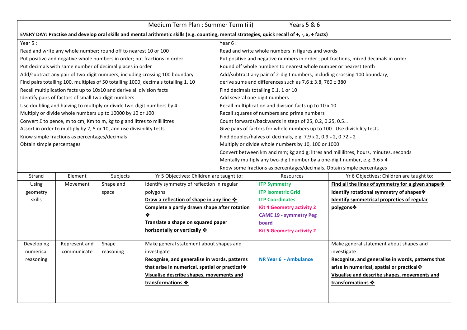|                                                                                                                                               | Medium Term Plan : Summer Term (iii)<br>Years 5 & 6                     |           |                                                                                    |                                                                            |                                                                            |                                                                                      |  |
|-----------------------------------------------------------------------------------------------------------------------------------------------|-------------------------------------------------------------------------|-----------|------------------------------------------------------------------------------------|----------------------------------------------------------------------------|----------------------------------------------------------------------------|--------------------------------------------------------------------------------------|--|
| EVERY DAY: Practise and develop oral skills and mental arithmetic skills (e.g. counting, mental strategies, quick recall of +, -, x, ÷ facts) |                                                                         |           |                                                                                    |                                                                            |                                                                            |                                                                                      |  |
| Year 5:                                                                                                                                       |                                                                         |           |                                                                                    | Year $6:$                                                                  |                                                                            |                                                                                      |  |
|                                                                                                                                               | Read and write any whole number; round off to nearest 10 or 100         |           |                                                                                    |                                                                            | Read and write whole numbers in figures and words                          |                                                                                      |  |
|                                                                                                                                               |                                                                         |           | Put positive and negative whole numbers in order; put fractions in order           |                                                                            |                                                                            | Put positive and negative numbers in order ; put fractions, mixed decimals in order  |  |
|                                                                                                                                               | Put decimals with same number of decimal places in order                |           |                                                                                    |                                                                            | Round off whole numbers to nearest whole number or nearest tenth           |                                                                                      |  |
|                                                                                                                                               |                                                                         |           | Add/subtract any pair of two-digit numbers, including crossing 100 boundary        |                                                                            | Add/subtract any pair of 2-digit numbers, including crossing 100 boundary; |                                                                                      |  |
|                                                                                                                                               |                                                                         |           | Find pairs totalling 100, multiples of 50 totalling 1000, decimals totalling 1, 10 |                                                                            | derive sums and differences such as $7.6 \pm 3.8$ , $760 \pm 380$          |                                                                                      |  |
|                                                                                                                                               | Recall multiplication facts up to 10x10 and derive all division facts   |           |                                                                                    |                                                                            | Find decimals totalling 0.1, 1 or 10                                       |                                                                                      |  |
|                                                                                                                                               | Identify pairs of factors of small two-digit numbers                    |           |                                                                                    | Add several one-digit numbers                                              |                                                                            |                                                                                      |  |
|                                                                                                                                               | Use doubling and halving to multiply or divide two-digit numbers by 4   |           |                                                                                    |                                                                            | Recall multiplication and division facts up to 10 x 10.                    |                                                                                      |  |
|                                                                                                                                               | Multiply or divide whole numbers up to 10000 by 10 or 100               |           |                                                                                    | Recall squares of numbers and prime numbers                                |                                                                            |                                                                                      |  |
|                                                                                                                                               | Convert £ to pence, m to cm, Km to m, kg to g and litres to millilitres |           |                                                                                    | Count forwards/backwards in steps of 25, 0.2, 0.25, 0.5                    |                                                                            |                                                                                      |  |
|                                                                                                                                               | Assort in order to multiply by 2, 5 or 10, and use divisibility tests   |           |                                                                                    | Give pairs of factors for whole numbers up to 100. Use divisbility tests   |                                                                            |                                                                                      |  |
|                                                                                                                                               | Know simple fractions as percentages/decimals                           |           |                                                                                    | Find doubles/halves of decimals, e.g. 7.9 x 2, 0.9 $\div$ 2, 0.72 $\div$ 2 |                                                                            |                                                                                      |  |
| Obtain simple percentages                                                                                                                     |                                                                         |           |                                                                                    |                                                                            | Multiply or divide whole numbers by 10, 100 or 1000                        |                                                                                      |  |
|                                                                                                                                               |                                                                         |           |                                                                                    |                                                                            |                                                                            | Convert between km and mm; kg and g; litres and millilitres, hours, minutes, seconds |  |
|                                                                                                                                               |                                                                         |           |                                                                                    |                                                                            | Mentally multiply any two-digit number by a one-digit number, e.g. 3.6 x 4 |                                                                                      |  |
|                                                                                                                                               |                                                                         |           |                                                                                    |                                                                            | Know some fractions as percentages/decimals. Obtain simple percentages     |                                                                                      |  |
| Strand                                                                                                                                        | Element                                                                 | Subjects  | Yr 5 Objectives: Children are taught to:                                           |                                                                            | Resources                                                                  | Yr 6 Objectives: Children are taught to:                                             |  |
| Using                                                                                                                                         | Movement                                                                | Shape and | Identify symmetry of reflection in regular                                         |                                                                            | <b>ITP Symmetry</b>                                                        | Find all the lines of symmetry for a given shape *                                   |  |
| geometry                                                                                                                                      |                                                                         | space     | polygons                                                                           |                                                                            | <b>ITP Isometric Grid</b>                                                  | Identify rotational symmetry of shapes *                                             |  |
| skills                                                                                                                                        |                                                                         |           | Draw a reflection of shape in any line $\clubsuit$                                 |                                                                            | <b>ITP Coordinates</b>                                                     | Identify symmetrical propreties of regular                                           |  |
|                                                                                                                                               |                                                                         |           | Complete a partly drawn shape after rotation                                       |                                                                            | <b>Kit 4 Geometry activity 2</b>                                           | polygons❖                                                                            |  |
|                                                                                                                                               |                                                                         |           | ❖                                                                                  |                                                                            | <b>CAME 19 - symmetry Peg</b>                                              |                                                                                      |  |
|                                                                                                                                               |                                                                         |           | Translate a shape on squared paper                                                 |                                                                            | board                                                                      |                                                                                      |  |
|                                                                                                                                               |                                                                         |           | horizontally or vertically *                                                       |                                                                            | <b>Kit 5 Geometry activity 2</b>                                           |                                                                                      |  |
| Developing                                                                                                                                    | Represent and                                                           | Shape     | Make general statement about shapes and                                            |                                                                            |                                                                            | Make general statement about shapes and                                              |  |
| numerical                                                                                                                                     | communicate                                                             | reasoning | investigate                                                                        |                                                                            |                                                                            | investigate                                                                          |  |

**NR Year 6 - Ambulance**

Recognise, and generalise in words, patterns that

**Visualise and describe shapes, movements and** 

**arise in numerical, spatial or practical \*** 

transformations  $\triangle$ 

**Recognise, and generalise in words, patterns** that arise in numerical, spatial or practical  $\clubsuit$ **Visualise describe shapes, movements and** 

transformations  $\triangle$ 

reasoning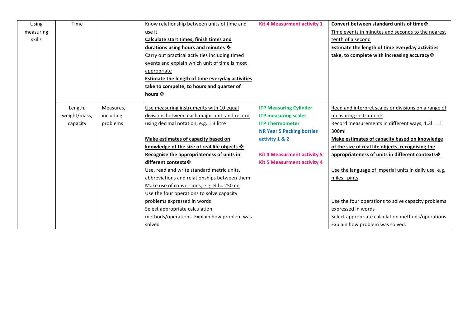| Using     | Time         |           | Know relationship between units of time and            | <b>Kit 4 Measurment activity 1</b> | Convert between standard units of time $\cdot$         |
|-----------|--------------|-----------|--------------------------------------------------------|------------------------------------|--------------------------------------------------------|
| measuring |              |           | use it                                                 |                                    | Time events in minutes and seconds to the nearest      |
| skills    |              |           | Calculate start times, finish times and                |                                    | tenth of a second                                      |
|           |              |           | durations using hours and minutes $\clubsuit$          |                                    | Estimate the length of time everyday activities        |
|           |              |           | Carry out practical activities including timed         |                                    | take, to complete with increasing accuracy *           |
|           |              |           | events and explain which unit of time is most          |                                    |                                                        |
|           |              |           | appropriate                                            |                                    |                                                        |
|           |              |           | Estimate the length of time everyday activities        |                                    |                                                        |
|           |              |           | take to compelte, to hours and quarter of              |                                    |                                                        |
|           |              |           | hours ❖                                                |                                    |                                                        |
|           |              |           |                                                        |                                    |                                                        |
|           | Length,      | Measures, | Use measuring instruments with 10 equal                | <b>ITP Measuring Cylinder</b>      | Read and interpret scales or divisions on a range of   |
|           | weight/mass, | including | divisions between each major unit, and record          | <b>ITP measuring scales</b>        | measuring instruments                                  |
|           | capacity     | problems  | using decimal notation, e.g. 1.3 litre                 | <b>ITP Thermometer</b>             | Record measurements in different ways, 1.3I = 1I       |
|           |              |           |                                                        | <b>NR Year 5 Packing bottles</b>   | 300ml                                                  |
|           |              |           | Make estimates of capacity based on                    | activity 1 & 2                     | Make estimates of capacity based on knowledge          |
|           |              |           | knowledge of the size of real life objects $\clubsuit$ |                                    | of the size of real life objects, recognising the      |
|           |              |           | Recognise the appropriateness of units in              | <b>Kit 4 Measurment activity 5</b> | appropriateness of units in different contexts $\cdot$ |
|           |              |           | different contexts *                                   | <b>Kit 5 Measurment activity 4</b> |                                                        |
|           |              |           | Use, read and write standard metric units,             |                                    | Use the language of imperial units in daily use e.g.   |
|           |              |           | abbreviations and relationships between them           |                                    | miles, pints                                           |
|           |              |           | Make use of conversions, e.g. $\frac{1}{4}$ l = 250 ml |                                    |                                                        |
|           |              |           | Use the four operations to solve capacity              |                                    |                                                        |
|           |              |           | problems expressed in words                            |                                    | Use the four operations to solve capacity problems     |
|           |              |           | Select appropriate calculation                         |                                    | expressed in words                                     |
|           |              |           | methods/operations. Explain how problem was            |                                    | Select appropriate calculation methods/operations.     |
|           |              |           | solved                                                 |                                    | Explain how problem was solved.                        |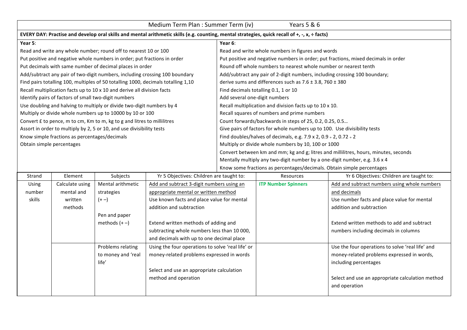| Medium Term Plan : Summer Term (iv)<br>Years 5 & 6 |                                                                                                                                               |                                                                                   |                                          |                                                                            |                                                                                      |                                                                                    |  |  |
|----------------------------------------------------|-----------------------------------------------------------------------------------------------------------------------------------------------|-----------------------------------------------------------------------------------|------------------------------------------|----------------------------------------------------------------------------|--------------------------------------------------------------------------------------|------------------------------------------------------------------------------------|--|--|
|                                                    | EVERY DAY: Practise and develop oral skills and mental arithmetic skills (e.g. counting, mental strategies, quick recall of +, -, x, + facts) |                                                                                   |                                          |                                                                            |                                                                                      |                                                                                    |  |  |
| Year 5:                                            |                                                                                                                                               |                                                                                   |                                          | Year 6:                                                                    |                                                                                      |                                                                                    |  |  |
|                                                    |                                                                                                                                               | Read and write any whole number; round off to nearest 10 or 100                   |                                          |                                                                            | Read and write whole numbers in figures and words                                    |                                                                                    |  |  |
|                                                    |                                                                                                                                               | Put positive and negative whole numbers in order; put fractions in order          |                                          |                                                                            |                                                                                      | Put positive and negative numbers in order; put fractions, mixed decimals in order |  |  |
|                                                    |                                                                                                                                               | Put decimals with same number of decimal places in order                          |                                          |                                                                            | Round off whole numbers to nearest whole number or nearest tenth                     |                                                                                    |  |  |
|                                                    |                                                                                                                                               | Add/subtract any pair of two-digit numbers, including crossing 100 boundary       |                                          |                                                                            | Add/subtract any pair of 2-digit numbers, including crossing 100 boundary;           |                                                                                    |  |  |
|                                                    |                                                                                                                                               | Find pairs totalling 100, multiples of 50 totalling 1000, decimals totalling 1,10 |                                          |                                                                            | derive sums and differences such as $7.6 \pm 3.8$ , $760 \pm 380$                    |                                                                                    |  |  |
|                                                    |                                                                                                                                               | Recall multiplication facts up to 10 x 10 and derive all division facts           |                                          | Find decimals totalling 0.1, 1 or 10                                       |                                                                                      |                                                                                    |  |  |
|                                                    | Identify pairs of factors of small two-digit numbers                                                                                          |                                                                                   |                                          | Add several one-digit numbers                                              |                                                                                      |                                                                                    |  |  |
|                                                    |                                                                                                                                               | Use doubling and halving to multiply or divide two-digit numbers by 4             |                                          |                                                                            | Recall multiplication and division facts up to 10 x 10.                              |                                                                                    |  |  |
|                                                    |                                                                                                                                               | Multiply or divide whole numbers up to 10000 by 10 or 100                         |                                          |                                                                            | Recall squares of numbers and prime numbers                                          |                                                                                    |  |  |
|                                                    |                                                                                                                                               | Convert £ to pence, m to cm, Km to m, kg to g and litres to millilitres           |                                          |                                                                            | Count forwards/backwards in steps of 25, 0.2, 0.25, 0.5                              |                                                                                    |  |  |
|                                                    |                                                                                                                                               | Assort in order to multiply by 2, 5 or 10, and use divisibility tests             |                                          | Give pairs of factors for whole numbers up to 100. Use divisibility tests  |                                                                                      |                                                                                    |  |  |
|                                                    | Know simple fractions as percentages/decimals                                                                                                 |                                                                                   |                                          | Find doubles/halves of decimals, e.g. 7.9 x 2, 0.9 $\div$ 2, 0.72 $\div$ 2 |                                                                                      |                                                                                    |  |  |
| Obtain simple percentages                          |                                                                                                                                               |                                                                                   |                                          | Multiply or divide whole numbers by 10, 100 or 1000                        |                                                                                      |                                                                                    |  |  |
|                                                    |                                                                                                                                               |                                                                                   |                                          |                                                                            | Convert between km and mm; kg and g; litres and millilitres, hours, minutes, seconds |                                                                                    |  |  |
|                                                    |                                                                                                                                               |                                                                                   |                                          | Mentally multiply any two-digit number by a one-digit number, e.g. 3.6 x 4 |                                                                                      |                                                                                    |  |  |
|                                                    |                                                                                                                                               |                                                                                   |                                          | Know some fractions as percentages/decimals. Obtain simple percentages     |                                                                                      |                                                                                    |  |  |
| Strand                                             | <b>Flement</b>                                                                                                                                | <b>Subjects</b>                                                                   | Yr 5 Objectives: Children are taught to: |                                                                            | <b>Resources</b>                                                                     | Yr 6 Objectives: Children are taught to:                                           |  |  |

| Strand | Element         | Subjects           | Yr 5 Objectives: Children are taught to:          | Resources                  | Yr 6 Objectives: Children are taught to:         |
|--------|-----------------|--------------------|---------------------------------------------------|----------------------------|--------------------------------------------------|
| Using  | Calculate using | Mental arithmetic  | Add and subtract 3-digit numbers using an         | <b>ITP Number Spinners</b> | Add and subtract numbers using whole numbers     |
| number | mental and      | strategies         | appropriate mental or written method              |                            | and decimals                                     |
| skills | written         | $(+ -)$            | Use known facts and place value for mental        |                            | Use number facts and place value for mental      |
|        | methods         |                    | addition and subtraction                          |                            | addition and subtraction                         |
|        |                 | Pen and paper      |                                                   |                            |                                                  |
|        |                 | methods $(+ -)$    | Extend written methods of adding and              |                            | Extend written methods to add and subtract       |
|        |                 |                    | subtracting whole numbers less than 10 000,       |                            | numbers including decimals in columns            |
|        |                 |                    | and decimals with up to one decimal place         |                            |                                                  |
|        |                 | Problems relating  | Using the four operations to solve 'real life' or |                            | Use the four operations to solve 'real life' and |
|        |                 | to money and 'real | money-related problems expressed in words         |                            | money-related problems expressed in words,       |
|        |                 | life'              |                                                   |                            | including percentages                            |
|        |                 |                    | Select and use an appropriate calculation         |                            |                                                  |
|        |                 |                    | method and operation                              |                            | Select and use an appropriate calculation method |
|        |                 |                    |                                                   |                            | and operation                                    |
|        |                 |                    |                                                   |                            |                                                  |